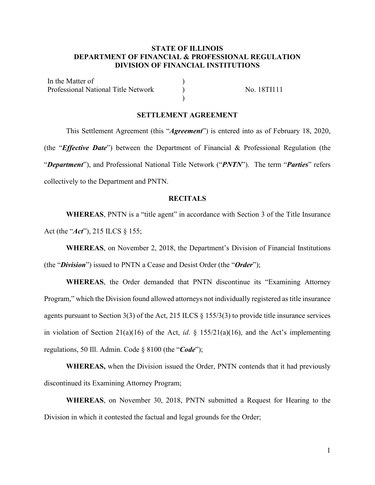## **STATE OF ILLINOIS DEPARTMENT OF FINANCIAL & PROFESSIONAL REGULATION DIVISION OF FINANCIAL INSTITUTIONS**

In the Matter of  $\qquad \qquad$  ) Professional National Title Network (No. 18TI111 )

## **SETTLEMENT AGREEMENT**

This Settlement Agreement (this "*Agreement*") is entered into as of February 18, 2020, (the "*Effective Date*") between the Department of Financial & Professional Regulation (the "*Department*"), and Professional National Title Network ("*PNTN*"). The term "*Parties*" refers collectively to the Department and PNTN.

#### **RECITALS**

**WHEREAS**, PNTN is a "title agent" in accordance with Section 3 of the Title Insurance Act (the "*Act*"), 215 ILCS § 155;

**WHEREAS**, on November 2, 2018, the Department's Division of Financial Institutions (the "*Division*") issued to PNTN a Cease and Desist Order (the "*Order*");

**WHEREAS**, the Order demanded that PNTN discontinue its "Examining Attorney Program," which the Division found allowed attorneys not individually registered as title insurance agents pursuant to Section 3(3) of the Act, 215 ILCS § 155/3(3) to provide title insurance services in violation of Section 21(a)(16) of the Act, *id*. § 155/21(a)(16), and the Act's implementing regulations, 50 Ill. Admin. Code § 8100 (the "*Code*");

**WHEREAS,** when the Division issued the Order, PNTN contends that it had previously discontinued its Examining Attorney Program;

**WHEREAS**, on November 30, 2018, PNTN submitted a Request for Hearing to the Division in which it contested the factual and legal grounds for the Order;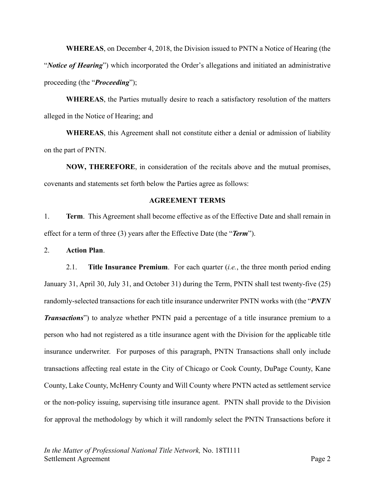**WHEREAS**, on December 4, 2018, the Division issued to PNTN a Notice of Hearing (the "*Notice of Hearing*") which incorporated the Order's allegations and initiated an administrative proceeding (the "*Proceeding*");

**WHEREAS**, the Parties mutually desire to reach a satisfactory resolution of the matters alleged in the Notice of Hearing; and

**WHEREAS**, this Agreement shall not constitute either a denial or admission of liability on the part of PNTN.

**NOW, THEREFORE**, in consideration of the recitals above and the mutual promises, covenants and statements set forth below the Parties agree as follows:

## **AGREEMENT TERMS**

1. **Term**. This Agreement shall become effective as of the Effective Date and shall remain in effect for a term of three (3) years after the Effective Date (the "*Term*").

2. **Action Plan**.

2.1. **Title Insurance Premium**. For each quarter (*i.e.*, the three month period ending January 31, April 30, July 31, and October 31) during the Term, PNTN shall test twenty-five (25) randomly-selected transactions for each title insurance underwriter PNTN works with (the "*PNTN Transactions*") to analyze whether PNTN paid a percentage of a title insurance premium to a person who had not registered as a title insurance agent with the Division for the applicable title insurance underwriter. For purposes of this paragraph, PNTN Transactions shall only include transactions affecting real estate in the City of Chicago or Cook County, DuPage County, Kane County, Lake County, McHenry County and Will County where PNTN acted as settlement service or the non-policy issuing, supervising title insurance agent. PNTN shall provide to the Division for approval the methodology by which it will randomly select the PNTN Transactions before it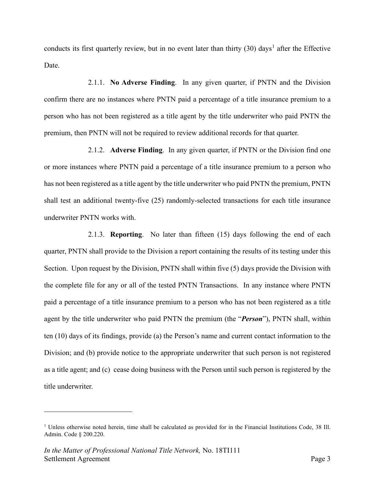conducts its first quarterly review, but in no event later than thirty  $(30)$  days<sup>[1](#page-2-0)</sup> after the Effective Date.

2.1.1. **No Adverse Finding**. In any given quarter, if PNTN and the Division confirm there are no instances where PNTN paid a percentage of a title insurance premium to a person who has not been registered as a title agent by the title underwriter who paid PNTN the premium, then PNTN will not be required to review additional records for that quarter.

2.1.2. **Adverse Finding**. In any given quarter, if PNTN or the Division find one or more instances where PNTN paid a percentage of a title insurance premium to a person who has not been registered as a title agent by the title underwriter who paid PNTN the premium, PNTN shall test an additional twenty-five (25) randomly-selected transactions for each title insurance underwriter PNTN works with.

2.1.3. **Reporting**. No later than fifteen (15) days following the end of each quarter, PNTN shall provide to the Division a report containing the results of its testing under this Section. Upon request by the Division, PNTN shall within five (5) days provide the Division with the complete file for any or all of the tested PNTN Transactions. In any instance where PNTN paid a percentage of a title insurance premium to a person who has not been registered as a title agent by the title underwriter who paid PNTN the premium (the "*Person*"), PNTN shall, within ten (10) days of its findings, provide (a) the Person's name and current contact information to the Division; and (b) provide notice to the appropriate underwriter that such person is not registered as a title agent; and (c) cease doing business with the Person until such person is registered by the title underwriter.

<span id="page-2-0"></span><sup>&</sup>lt;sup>1</sup> Unless otherwise noted herein, time shall be calculated as provided for in the Financial Institutions Code, 38 Ill. Admin. Code § 200.220.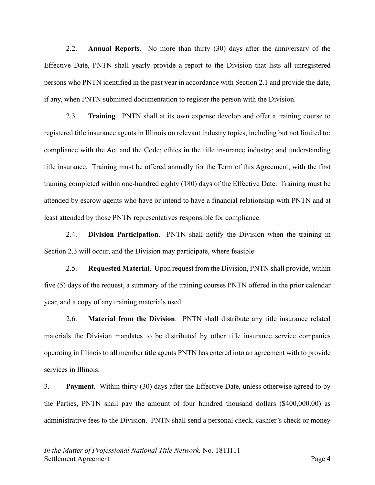2.2. **Annual Reports**. No more than thirty (30) days after the anniversary of the Effective Date, PNTN shall yearly provide a report to the Division that lists all unregistered persons who PNTN identified in the past year in accordance with Section 2.1 and provide the date, if any, when PNTN submitted documentation to register the person with the Division.

2.3. **Training**. PNTN shall at its own expense develop and offer a training course to registered title insurance agents in Illinois on relevant industry topics, including but not limited to: compliance with the Act and the Code; ethics in the title insurance industry; and understanding title insurance. Training must be offered annually for the Term of this Agreement, with the first training completed within one-hundred eighty (180) days of the Effective Date. Training must be attended by escrow agents who have or intend to have a financial relationship with PNTN and at least attended by those PNTN representatives responsible for compliance.

2.4. **Division Participation**. PNTN shall notify the Division when the training in Section 2.3 will occur, and the Division may participate, where feasible.

2.5. **Requested Material**. Upon request from the Division, PNTN shall provide, within five (5) days of the request, a summary of the training courses PNTN offered in the prior calendar year, and a copy of any training materials used.

2.6. **Material from the Division**. PNTN shall distribute any title insurance related materials the Division mandates to be distributed by other title insurance service companies operating in Illinois to all member title agents PNTN has entered into an agreement with to provide services in Illinois.

3. **Payment**. Within thirty (30) days after the Effective Date, unless otherwise agreed to by the Parties, PNTN shall pay the amount of four hundred thousand dollars (\$400,000.00) as administrative fees to the Division. PNTN shall send a personal check, cashier's check or money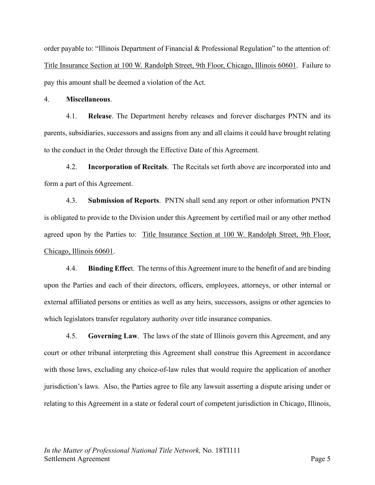order payable to: "Illinois Department of Financial & Professional Regulation" to the attention of: Title Insurance Section at 100 W. Randolph Street, 9th Floor, Chicago, Illinois 60601. Failure to pay this amount shall be deemed a violation of the Act.

4. **Miscellaneous**.

4.1. **Release**. The Department hereby releases and forever discharges PNTN and its parents, subsidiaries, successors and assigns from any and all claims it could have brought relating to the conduct in the Order through the Effective Date of this Agreement.

4.2. **Incorporation of Recitals**. The Recitals set forth above are incorporated into and form a part of this Agreement.

4.3. **Submission of Reports**. PNTN shall send any report or other information PNTN is obligated to provide to the Division under this Agreement by certified mail or any other method agreed upon by the Parties to: Title Insurance Section at 100 W. Randolph Street, 9th Floor, Chicago, Illinois 60601.

4.4. **Binding Effec**t. The terms of this Agreement inure to the benefit of and are binding upon the Parties and each of their directors, officers, employees, attorneys, or other internal or external affiliated persons or entities as well as any heirs, successors, assigns or other agencies to which legislators transfer regulatory authority over title insurance companies.

4.5. **Governing Law**. The laws of the state of Illinois govern this Agreement, and any court or other tribunal interpreting this Agreement shall construe this Agreement in accordance with those laws, excluding any choice-of-law rules that would require the application of another jurisdiction's laws. Also, the Parties agree to file any lawsuit asserting a dispute arising under or relating to this Agreement in a state or federal court of competent jurisdiction in Chicago, Illinois,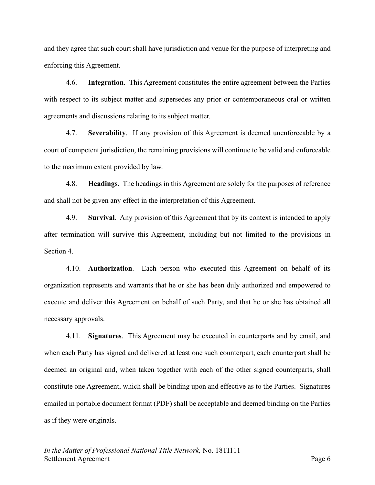and they agree that such court shall have jurisdiction and venue for the purpose of interpreting and enforcing this Agreement.

4.6. **Integration**. This Agreement constitutes the entire agreement between the Parties with respect to its subject matter and supersedes any prior or contemporaneous oral or written agreements and discussions relating to its subject matter.

4.7. **Severability**. If any provision of this Agreement is deemed unenforceable by a court of competent jurisdiction, the remaining provisions will continue to be valid and enforceable to the maximum extent provided by law.

4.8. **Headings**. The headings in this Agreement are solely for the purposes of reference and shall not be given any effect in the interpretation of this Agreement.

4.9. **Survival**. Any provision of this Agreement that by its context is intended to apply after termination will survive this Agreement, including but not limited to the provisions in Section 4.

4.10. **Authorization**. Each person who executed this Agreement on behalf of its organization represents and warrants that he or she has been duly authorized and empowered to execute and deliver this Agreement on behalf of such Party, and that he or she has obtained all necessary approvals.

4.11. **Signatures**. This Agreement may be executed in counterparts and by email, and when each Party has signed and delivered at least one such counterpart, each counterpart shall be deemed an original and, when taken together with each of the other signed counterparts, shall constitute one Agreement, which shall be binding upon and effective as to the Parties. Signatures emailed in portable document format (PDF) shall be acceptable and deemed binding on the Parties as if they were originals.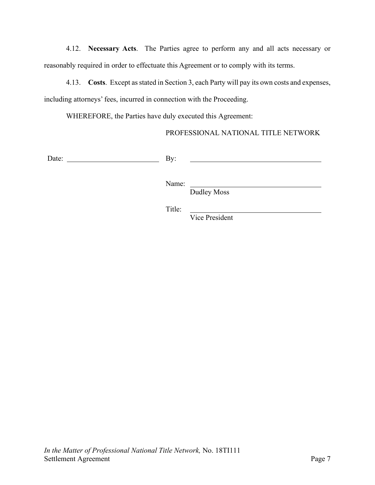4.12. **Necessary Acts**. The Parties agree to perform any and all acts necessary or reasonably required in order to effectuate this Agreement or to comply with its terms.

4.13. **Costs**. Except as stated in Section 3, each Party will pay its own costs and expenses, including attorneys' fees, incurred in connection with the Proceeding.

WHEREFORE, the Parties have duly executed this Agreement:

PROFESSIONAL NATIONAL TITLE NETWORK

Date: By:

Name:

Dudley Moss

Title:

Vice President